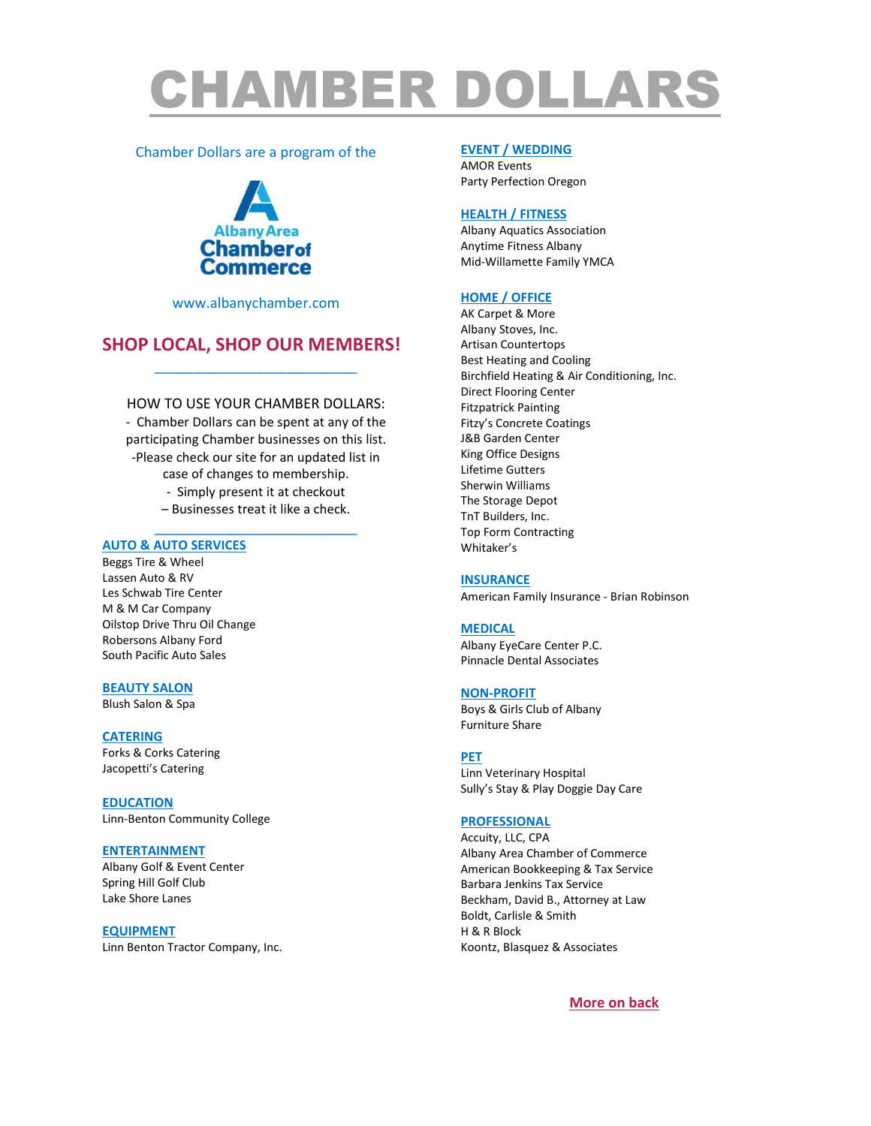# CHAMBER DOLLARS

## Chamber Dollars are a program of the



[www.albanychamber.com](http://www.albanychamber.com/)

## **SHOP LOCAL, SHOP OUR MEMBERS!** \_\_\_\_\_\_\_\_\_\_\_\_\_\_\_\_\_\_\_\_\_\_\_\_\_\_

HOW TO USE YOUR CHAMBER DOLLARS: - Chamber Dollars can be spent at any of the participating Chamber businesses on this list. -Please check our site for an updated list in case of changes to membership. - Simply present it at checkout

> – Businesses treat it like a check. \_\_\_\_\_\_\_\_\_\_\_\_\_\_\_\_\_\_\_\_\_\_\_\_\_\_

## **AUTO & AUTO SERVICES**

Beggs Tire & Wheel Lassen Auto & RV Les Schwab Tire Center M & M Car Company Oilstop Drive Thru Oil Change Robersons Albany Ford South Pacific Auto Sales

## **BEAUTY SALON**

Blush Salon & Spa

## **CATERING**

Forks & Corks Catering Jacopetti's Catering

**EDUCATION** Linn-Benton Community College

## **ENTERTAINMENT**

Albany Golf & Event Center Spring Hill Golf Club Lake Shore Lanes

## **EQUIPMENT**

Linn Benton Tractor Company, Inc.

## **EVENT / WEDDING**

AMOR Events Party Perfection Oregon

#### **HEALTH / FITNESS**

Albany Aquatics Association Anytime Fitness Albany Mid-Willamette Family YMCA

## **HOME / OFFICE**

AK Carpet & More Albany Stoves, Inc. Artisan Countertops Best Heating and Cooling Birchfield Heating & Air Conditioning, Inc. Direct Flooring Center Fitzpatrick Painting Fitzy's Concrete Coatings J&B Garden Center King Office Designs Lifetime Gutters Sherwin Williams The Storage Depot TnT Builders, Inc. Top Form Contracting Whitaker's

#### **INSURANCE**

American Family Insurance - Brian Robinson

## **MEDICAL**

Albany EyeCare Center P.C. Pinnacle Dental Associates

#### **NON-PROFIT**

Boys & Girls Club of Albany Furniture Share

## **PET**

Linn Veterinary Hospital Sully's Stay & Play Doggie Day Care

## **PROFESSIONAL**

Accuity, LLC, CPA Albany Area Chamber of Commerce American Bookkeeping & Tax Service Barbara Jenkins Tax Service Beckham, David B., Attorney at Law Boldt, Carlisle & Smith H & R Block Koontz, Blasquez & Associates

**More on back**